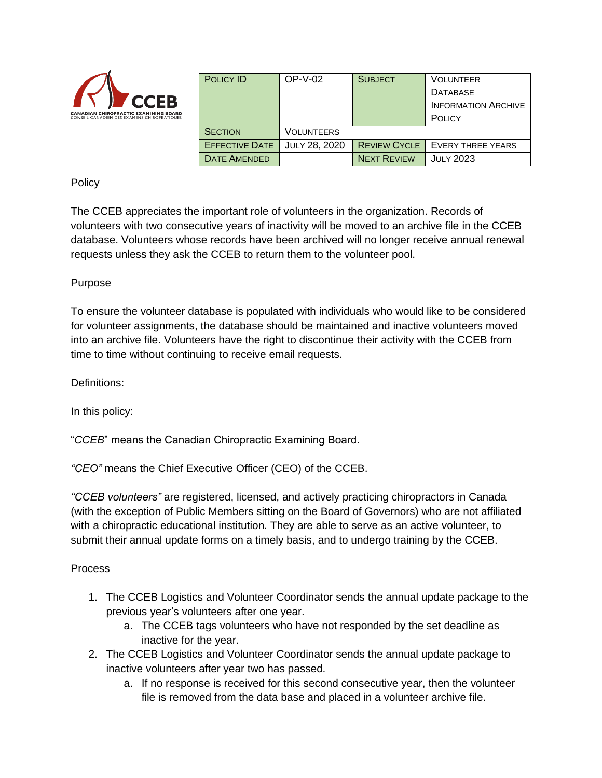

| <b>POLICY ID</b>      | $OP-V-02$            | <b>SUBJECT</b>      | <b>VOLUNTEER</b>           |
|-----------------------|----------------------|---------------------|----------------------------|
|                       |                      |                     | <b>DATABASE</b>            |
|                       |                      |                     | <b>INFORMATION ARCHIVE</b> |
|                       |                      |                     | <b>POLICY</b>              |
| <b>SECTION</b>        | <b>VOLUNTEERS</b>    |                     |                            |
| <b>EFFECTIVE DATE</b> | <b>JULY 28, 2020</b> | <b>REVIEW CYCLE</b> | <b>EVERY THREE YEARS</b>   |
| <b>DATE AMENDED</b>   |                      | <b>NEXT REVIEW</b>  | <b>JULY 2023</b>           |

## Policy

The CCEB appreciates the important role of volunteers in the organization. Records of volunteers with two consecutive years of inactivity will be moved to an archive file in the CCEB database. Volunteers whose records have been archived will no longer receive annual renewal requests unless they ask the CCEB to return them to the volunteer pool.

### Purpose

To ensure the volunteer database is populated with individuals who would like to be considered for volunteer assignments, the database should be maintained and inactive volunteers moved into an archive file. Volunteers have the right to discontinue their activity with the CCEB from time to time without continuing to receive email requests.

### Definitions:

In this policy:

"*CCEB*" means the Canadian Chiropractic Examining Board.

*"CEO"* means the Chief Executive Officer (CEO) of the CCEB.

*"CCEB volunteers"* are registered, licensed, and actively practicing chiropractors in Canada (with the exception of Public Members sitting on the Board of Governors) who are not affiliated with a chiropractic educational institution. They are able to serve as an active volunteer, to submit their annual update forms on a timely basis, and to undergo training by the CCEB.

#### Process

- 1. The CCEB Logistics and Volunteer Coordinator sends the annual update package to the previous year's volunteers after one year.
	- a. The CCEB tags volunteers who have not responded by the set deadline as inactive for the year.
- 2. The CCEB Logistics and Volunteer Coordinator sends the annual update package to inactive volunteers after year two has passed.
	- a. If no response is received for this second consecutive year, then the volunteer file is removed from the data base and placed in a volunteer archive file.